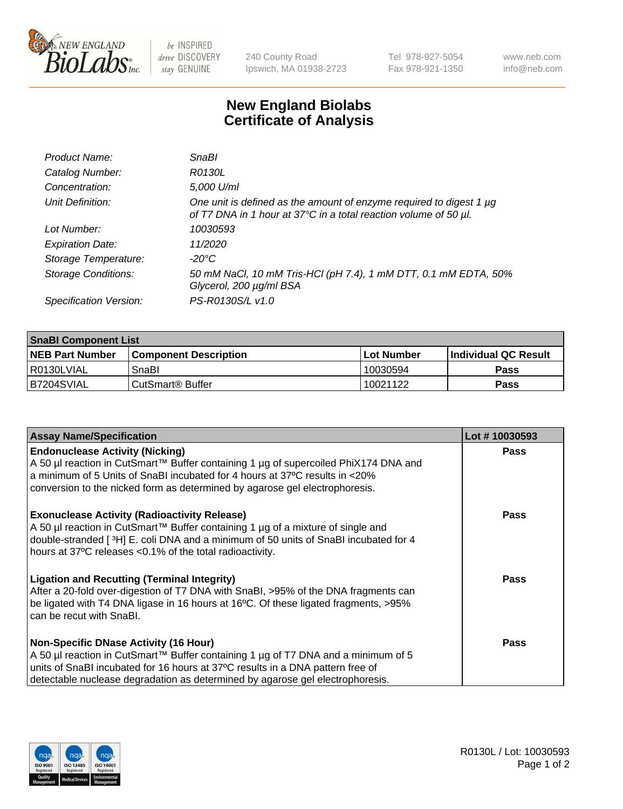

 $be$  INSPIRED drive DISCOVERY stay GENUINE

240 County Road Ipswich, MA 01938-2723 Tel 978-927-5054 Fax 978-921-1350 www.neb.com info@neb.com

## **New England Biolabs Certificate of Analysis**

| Product Name:              | <b>SnaBl</b>                                                                                                                            |
|----------------------------|-----------------------------------------------------------------------------------------------------------------------------------------|
| Catalog Number:            | R0130L                                                                                                                                  |
| Concentration:             | 5,000 U/ml                                                                                                                              |
| Unit Definition:           | One unit is defined as the amount of enzyme required to digest 1 µg<br>of T7 DNA in 1 hour at 37°C in a total reaction volume of 50 µl. |
| Lot Number:                | 10030593                                                                                                                                |
| <b>Expiration Date:</b>    | 11/2020                                                                                                                                 |
| Storage Temperature:       | $-20^{\circ}$ C                                                                                                                         |
| <b>Storage Conditions:</b> | 50 mM NaCl, 10 mM Tris-HCl (pH 7.4), 1 mM DTT, 0.1 mM EDTA, 50%<br>Glycerol, 200 µg/ml BSA                                              |
| Specification Version:     | PS-R0130S/L v1.0                                                                                                                        |

| <b>SnaBI Component List</b> |                         |             |                             |  |
|-----------------------------|-------------------------|-------------|-----------------------------|--|
| <b>NEB Part Number</b>      | l Component Description | ⊺Lot Number | <b>Individual QC Result</b> |  |
| I R0130LVIAL                | SnaBl                   | 10030594    | Pass                        |  |
| B7204SVIAL                  | l CutSmart® Buffer      | 10021122    | Pass                        |  |

| <b>Assay Name/Specification</b>                                                                                                                                                                                                                                                                      | Lot #10030593 |
|------------------------------------------------------------------------------------------------------------------------------------------------------------------------------------------------------------------------------------------------------------------------------------------------------|---------------|
| <b>Endonuclease Activity (Nicking)</b><br>A 50 µl reaction in CutSmart™ Buffer containing 1 µg of supercoiled PhiX174 DNA and<br>a minimum of 5 Units of SnaBI incubated for 4 hours at 37°C results in <20%<br>conversion to the nicked form as determined by agarose gel electrophoresis.          | <b>Pass</b>   |
| <b>Exonuclease Activity (Radioactivity Release)</b><br>A 50 µl reaction in CutSmart™ Buffer containing 1 µg of a mixture of single and<br>double-stranded [3H] E. coli DNA and a minimum of 50 units of SnaBI incubated for 4<br>hours at 37°C releases <0.1% of the total radioactivity.            | <b>Pass</b>   |
| <b>Ligation and Recutting (Terminal Integrity)</b><br>After a 20-fold over-digestion of T7 DNA with SnaBI, >95% of the DNA fragments can<br>be ligated with T4 DNA ligase in 16 hours at 16°C. Of these ligated fragments, >95%<br>can be recut with SnaBI.                                          | Pass          |
| <b>Non-Specific DNase Activity (16 Hour)</b><br>A 50 µl reaction in CutSmart™ Buffer containing 1 µg of T7 DNA and a minimum of 5<br>units of SnaBI incubated for 16 hours at 37°C results in a DNA pattern free of<br>detectable nuclease degradation as determined by agarose gel electrophoresis. | Pass          |